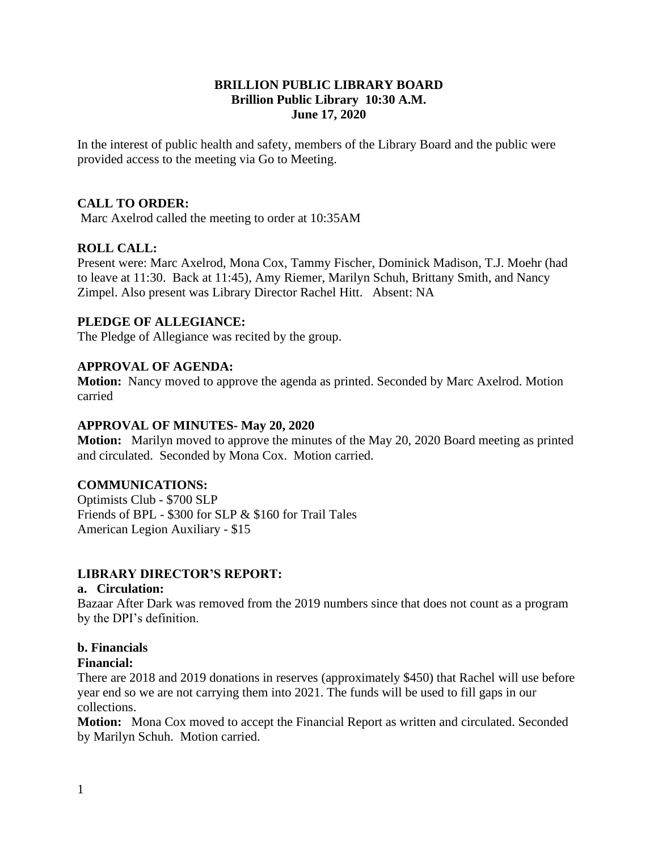## **BRILLION PUBLIC LIBRARY BOARD Brillion Public Library 10:30 A.M. June 17, 2020**

In the interest of public health and safety, members of the Library Board and the public were provided access to the meeting via Go to Meeting.

## **CALL TO ORDER:**

Marc Axelrod called the meeting to order at 10:35AM

## **ROLL CALL:**

Present were: Marc Axelrod, Mona Cox, Tammy Fischer, Dominick Madison, T.J. Moehr (had to leave at 11:30. Back at 11:45), Amy Riemer, Marilyn Schuh, Brittany Smith, and Nancy Zimpel. Also present was Library Director Rachel Hitt. Absent: NA

## **PLEDGE OF ALLEGIANCE:**

The Pledge of Allegiance was recited by the group.

## **APPROVAL OF AGENDA:**

**Motion:** Nancy moved to approve the agenda as printed. Seconded by Marc Axelrod. Motion carried

### **APPROVAL OF MINUTES- May 20, 2020**

**Motion:** Marilyn moved to approve the minutes of the May 20, 2020 Board meeting as printed and circulated. Seconded by Mona Cox. Motion carried.

### **COMMUNICATIONS:**

Optimists Club - \$700 SLP Friends of BPL - \$300 for SLP & \$160 for Trail Tales American Legion Auxiliary - \$15

### **LIBRARY DIRECTOR'S REPORT:**

#### **a. Circulation:**

Bazaar After Dark was removed from the 2019 numbers since that does not count as a program by the DPI's definition.

### **b. Financials**

#### **Financial:**

There are 2018 and 2019 donations in reserves (approximately \$450) that Rachel will use before year end so we are not carrying them into 2021. The funds will be used to fill gaps in our collections.

**Motion:** Mona Cox moved to accept the Financial Report as written and circulated. Seconded by Marilyn Schuh. Motion carried.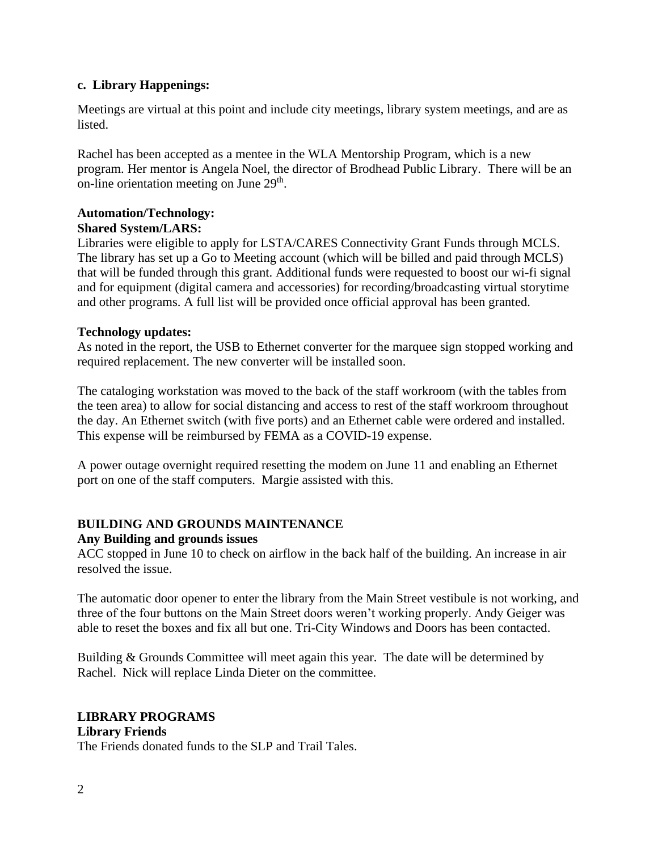## **c. Library Happenings:**

Meetings are virtual at this point and include city meetings, library system meetings, and are as listed.

Rachel has been accepted as a mentee in the WLA Mentorship Program, which is a new program. Her mentor is Angela Noel, the director of Brodhead Public Library. There will be an on-line orientation meeting on June 29<sup>th</sup>.

#### **Automation/Technology: Shared System/LARS:**

Libraries were eligible to apply for LSTA/CARES Connectivity Grant Funds through MCLS. The library has set up a Go to Meeting account (which will be billed and paid through MCLS) that will be funded through this grant. Additional funds were requested to boost our wi-fi signal and for equipment (digital camera and accessories) for recording/broadcasting virtual storytime and other programs. A full list will be provided once official approval has been granted.

## **Technology updates:**

As noted in the report, the USB to Ethernet converter for the marquee sign stopped working and required replacement. The new converter will be installed soon.

The cataloging workstation was moved to the back of the staff workroom (with the tables from the teen area) to allow for social distancing and access to rest of the staff workroom throughout the day. An Ethernet switch (with five ports) and an Ethernet cable were ordered and installed. This expense will be reimbursed by FEMA as a COVID-19 expense.

A power outage overnight required resetting the modem on June 11 and enabling an Ethernet port on one of the staff computers. Margie assisted with this.

# **BUILDING AND GROUNDS MAINTENANCE**

### **Any Building and grounds issues**

ACC stopped in June 10 to check on airflow in the back half of the building. An increase in air resolved the issue.

The automatic door opener to enter the library from the Main Street vestibule is not working, and three of the four buttons on the Main Street doors weren't working properly. Andy Geiger was able to reset the boxes and fix all but one. Tri-City Windows and Doors has been contacted.

Building & Grounds Committee will meet again this year. The date will be determined by Rachel. Nick will replace Linda Dieter on the committee.

# **LIBRARY PROGRAMS**

### **Library Friends**

The Friends donated funds to the SLP and Trail Tales.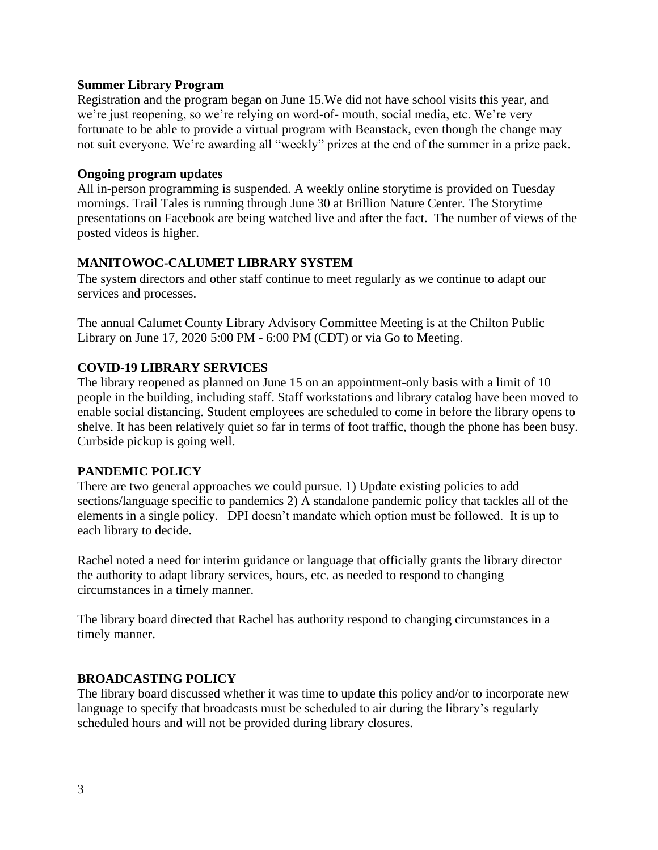### **Summer Library Program**

Registration and the program began on June 15.We did not have school visits this year, and we're just reopening, so we're relying on word-of- mouth, social media, etc. We're very fortunate to be able to provide a virtual program with Beanstack, even though the change may not suit everyone. We're awarding all "weekly" prizes at the end of the summer in a prize pack.

#### **Ongoing program updates**

All in-person programming is suspended. A weekly online storytime is provided on Tuesday mornings. Trail Tales is running through June 30 at Brillion Nature Center. The Storytime presentations on Facebook are being watched live and after the fact. The number of views of the posted videos is higher.

### **MANITOWOC-CALUMET LIBRARY SYSTEM**

The system directors and other staff continue to meet regularly as we continue to adapt our services and processes.

The annual Calumet County Library Advisory Committee Meeting is at the Chilton Public Library on June 17, 2020 5:00 PM - 6:00 PM (CDT) or via Go to Meeting.

### **COVID-19 LIBRARY SERVICES**

The library reopened as planned on June 15 on an appointment-only basis with a limit of 10 people in the building, including staff. Staff workstations and library catalog have been moved to enable social distancing. Student employees are scheduled to come in before the library opens to shelve. It has been relatively quiet so far in terms of foot traffic, though the phone has been busy. Curbside pickup is going well.

### **PANDEMIC POLICY**

There are two general approaches we could pursue. 1) Update existing policies to add sections/language specific to pandemics 2) A standalone pandemic policy that tackles all of the elements in a single policy. DPI doesn't mandate which option must be followed. It is up to each library to decide.

Rachel noted a need for interim guidance or language that officially grants the library director the authority to adapt library services, hours, etc. as needed to respond to changing circumstances in a timely manner.

The library board directed that Rachel has authority respond to changing circumstances in a timely manner.

### **BROADCASTING POLICY**

The library board discussed whether it was time to update this policy and/or to incorporate new language to specify that broadcasts must be scheduled to air during the library's regularly scheduled hours and will not be provided during library closures.